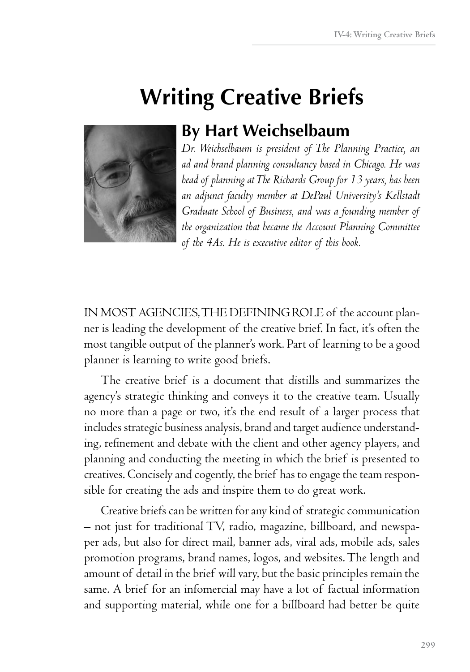# **Writing Creative Briefs**



# **By Hart Weichselbaum**

*Dr. Weichselbaum is president of The Planning Practice, an ad and brand planning consultancy based in Chicago. He was head of planning at The Richards Group for 13 years, has been an adjunct faculty member at DePaul University's Kellstadt Graduate School of Business, and was a founding member of the organization that became the Account Planning Committee of the 4As. He is executive editor of this book.*

IN MOST AGENCIES, THE DEFINING ROLE of the account planner is leading the development of the creative brief. In fact, it's often the most tangible output of the planner's work. Part of learning to be a good planner is learning to write good briefs.

The creative brief is a document that distills and summarizes the agency's strategic thinking and conveys it to the creative team. Usually no more than a page or two, it's the end result of a larger process that includes strategic business analysis, brand and target audience understanding, refinement and debate with the client and other agency players, and planning and conducting the meeting in which the brief is presented to creatives. Concisely and cogently, the brief has to engage the team responsible for creating the ads and inspire them to do great work.

Creative briefs can be written for any kind of strategic communication – not just for traditional TV, radio, magazine, billboard, and newspaper ads, but also for direct mail, banner ads, viral ads, mobile ads, sales promotion programs, brand names, logos, and websites. The length and amount of detail in the brief will vary, but the basic principles remain the same. A brief for an infomercial may have a lot of factual information and supporting material, while one for a billboard had better be quite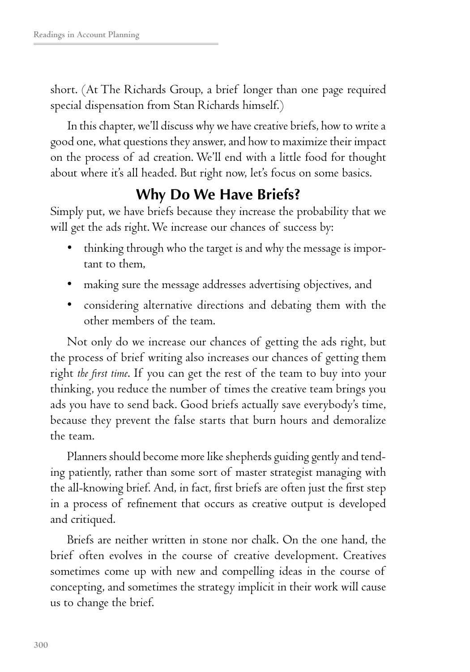short. (At The Richards Group, a brief longer than one page required special dispensation from Stan Richards himself.)

In this chapter, we'll discuss why we have creative briefs, how to write a good one, what questions they answer, and how to maximize their impact on the process of ad creation. We'll end with a little food for thought about where it's all headed. But right now, let's focus on some basics.

# **Why Do We Have Briefs?**

Simply put, we have briefs because they increase the probability that we will get the ads right. We increase our chances of success by:

- thinking through who the target is and why the message is important to them,
- making sure the message addresses advertising objectives, and
- • considering alternative directions and debating them with the other members of the team.

Not only do we increase our chances of getting the ads right, but the process of brief writing also increases our chances of getting them right *the first time*. If you can get the rest of the team to buy into your thinking, you reduce the number of times the creative team brings you ads you have to send back. Good briefs actually save everybody's time, because they prevent the false starts that burn hours and demoralize the team.

Planners should become more like shepherds guiding gently and tending patiently, rather than some sort of master strategist managing with the all-knowing brief. And, in fact, first briefs are often just the first step in a process of refinement that occurs as creative output is developed and critiqued.

Briefs are neither written in stone nor chalk. On the one hand, the brief often evolves in the course of creative development. Creatives sometimes come up with new and compelling ideas in the course of concepting, and sometimes the strategy implicit in their work will cause us to change the brief.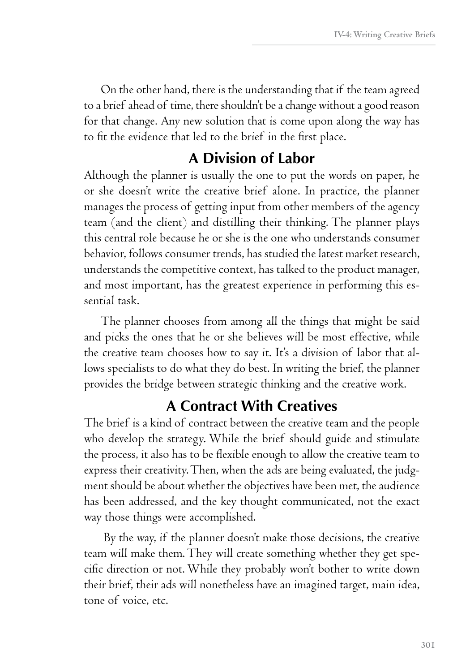On the other hand, there is the understanding that if the team agreed to a brief ahead of time, there shouldn't be a change without a good reason for that change. Any new solution that is come upon along the way has to fit the evidence that led to the brief in the first place.

## **A Division of Labor**

Although the planner is usually the one to put the words on paper, he or she doesn't write the creative brief alone. In practice, the planner manages the process of getting input from other members of the agency team (and the client) and distilling their thinking. The planner plays this central role because he or she is the one who understands consumer behavior, follows consumer trends, has studied the latest market research, understands the competitive context, has talked to the product manager, and most important, has the greatest experience in performing this essential task.

The planner chooses from among all the things that might be said and picks the ones that he or she believes will be most effective, while the creative team chooses how to say it. It's a division of labor that allows specialists to do what they do best. In writing the brief, the planner provides the bridge between strategic thinking and the creative work.

# **A Contract With Creatives**

The brief is a kind of contract between the creative team and the people who develop the strategy. While the brief should guide and stimulate the process, it also has to be flexible enough to allow the creative team to express their creativity. Then, when the ads are being evaluated, the judgment should be about whether the objectives have been met, the audience has been addressed, and the key thought communicated, not the exact way those things were accomplished.

 By the way, if the planner doesn't make those decisions, the creative team will make them. They will create something whether they get specific direction or not. While they probably won't bother to write down their brief, their ads will nonetheless have an imagined target, main idea, tone of voice, etc.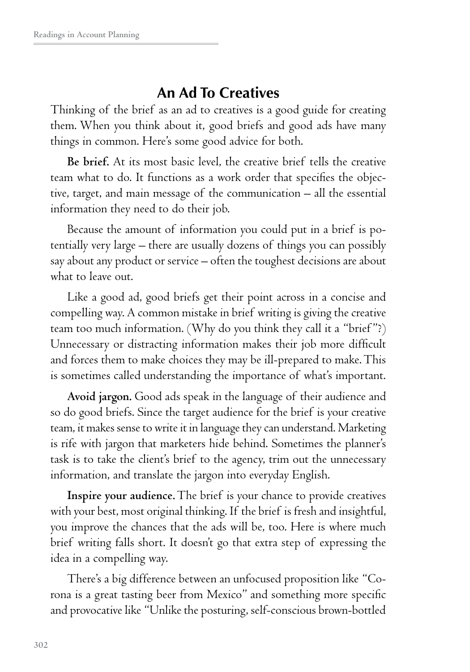## **An Ad To Creatives**

Thinking of the brief as an ad to creatives is a good guide for creating them. When you think about it, good briefs and good ads have many things in common. Here's some good advice for both.

**Be brief.** At its most basic level, the creative brief tells the creative team what to do. It functions as a work order that specifies the objective, target, and main message of the communication – all the essential information they need to do their job.

Because the amount of information you could put in a brief is potentially very large – there are usually dozens of things you can possibly say about any product or service – often the toughest decisions are about what to leave out.

Like a good ad, good briefs get their point across in a concise and compelling way. A common mistake in brief writing is giving the creative team too much information. (Why do you think they call it a "brief "?) Unnecessary or distracting information makes their job more difficult and forces them to make choices they may be ill-prepared to make. This is sometimes called understanding the importance of what's important.

**Avoid jargon.** Good ads speak in the language of their audience and so do good briefs. Since the target audience for the brief is your creative team, it makes sense to write it in language they can understand. Marketing is rife with jargon that marketers hide behind. Sometimes the planner's task is to take the client's brief to the agency, trim out the unnecessary information, and translate the jargon into everyday English.

**Inspire your audience.** The brief is your chance to provide creatives with your best, most original thinking. If the brief is fresh and insightful, you improve the chances that the ads will be, too. Here is where much brief writing falls short. It doesn't go that extra step of expressing the idea in a compelling way.

There's a big difference between an unfocused proposition like "Corona is a great tasting beer from Mexico" and something more specific and provocative like "Unlike the posturing, self-conscious brown-bottled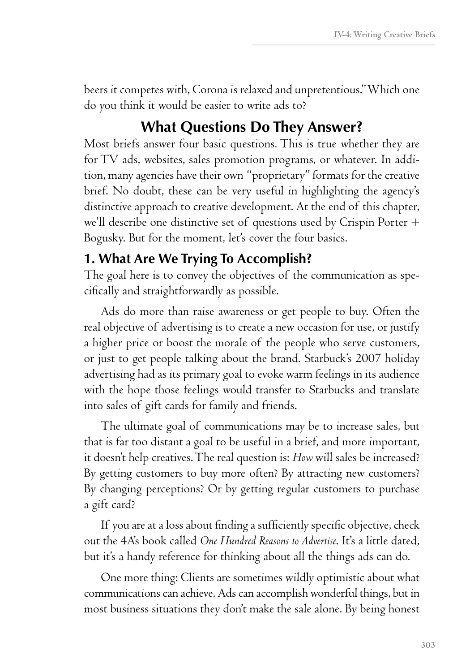beers it competes with, Corona is relaxed and unpretentious." Which one do you think it would be easier to write ads to?

## **What Questions Do They Answer?**

Most briefs answer four basic questions. This is true whether they are for TV ads, websites, sales promotion programs, or whatever. In addition, many agencies have their own "proprietary" formats for the creative brief. No doubt, these can be very useful in highlighting the agency's distinctive approach to creative development. At the end of this chapter, we'll describe one distinctive set of questions used by Crispin Porter + Bogusky. But for the moment, let's cover the four basics.

#### **1. What Are We Trying To Accomplish?**

The goal here is to convey the objectives of the communication as specifically and straightforwardly as possible.

Ads do more than raise awareness or get people to buy. Often the real objective of advertising is to create a new occasion for use, or justify a higher price or boost the morale of the people who serve customers, or just to get people talking about the brand. Starbuck's 2007 holiday advertising had as its primary goal to evoke warm feelings in its audience with the hope those feelings would transfer to Starbucks and translate into sales of gift cards for family and friends.

The ultimate goal of communications may be to increase sales, but that is far too distant a goal to be useful in a brief, and more important, it doesn't help creatives. The real question is: *How* will sales be increased? By getting customers to buy more often? By attracting new customers? By changing perceptions? Or by getting regular customers to purchase a gift card?

If you are at a loss about finding a sufficiently specific objective, check out the 4A's book called *One Hundred Reasons to Advertise*. It's a little dated, but it's a handy reference for thinking about all the things ads can do.

One more thing: Clients are sometimes wildly optimistic about what communications can achieve. Ads can accomplish wonderful things, but in most business situations they don't make the sale alone. By being honest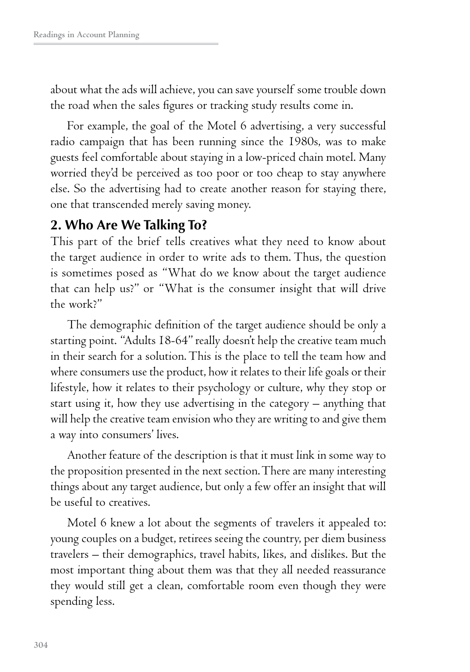about what the ads will achieve, you can save yourself some trouble down the road when the sales figures or tracking study results come in.

For example, the goal of the Motel 6 advertising, a very successful radio campaign that has been running since the 1980s, was to make guests feel comfortable about staying in a low-priced chain motel. Many worried they'd be perceived as too poor or too cheap to stay anywhere else. So the advertising had to create another reason for staying there, one that transcended merely saving money.

#### **2. Who Are We Talking To?**

This part of the brief tells creatives what they need to know about the target audience in order to write ads to them. Thus, the question is sometimes posed as "What do we know about the target audience that can help us?" or "What is the consumer insight that will drive the work?"

The demographic definition of the target audience should be only a starting point. "Adults 18-64" really doesn't help the creative team much in their search for a solution. This is the place to tell the team how and where consumers use the product, how it relates to their life goals or their lifestyle, how it relates to their psychology or culture, why they stop or start using it, how they use advertising in the category – anything that will help the creative team envision who they are writing to and give them a way into consumers' lives.

Another feature of the description is that it must link in some way to the proposition presented in the next section. There are many interesting things about any target audience, but only a few offer an insight that will be useful to creatives.

Motel 6 knew a lot about the segments of travelers it appealed to: young couples on a budget, retirees seeing the country, per diem business travelers – their demographics, travel habits, likes, and dislikes. But the most important thing about them was that they all needed reassurance they would still get a clean, comfortable room even though they were spending less.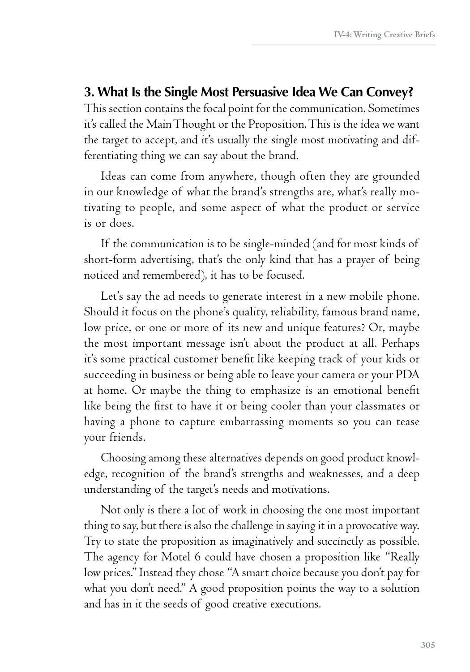#### **3. What Is the Single Most Persuasive Idea We Can Convey?**

This section contains the focal point for the communication. Sometimes it's called the Main Thought or the Proposition. This is the idea we want the target to accept, and it's usually the single most motivating and differentiating thing we can say about the brand.

Ideas can come from anywhere, though often they are grounded in our knowledge of what the brand's strengths are, what's really motivating to people, and some aspect of what the product or service is or does.

If the communication is to be single-minded (and for most kinds of short-form advertising, that's the only kind that has a prayer of being noticed and remembered), it has to be focused.

Let's say the ad needs to generate interest in a new mobile phone. Should it focus on the phone's quality, reliability, famous brand name, low price, or one or more of its new and unique features? Or, maybe the most important message isn't about the product at all. Perhaps it's some practical customer benefit like keeping track of your kids or succeeding in business or being able to leave your camera or your PDA at home. Or maybe the thing to emphasize is an emotional benefit like being the first to have it or being cooler than your classmates or having a phone to capture embarrassing moments so you can tease your friends.

Choosing among these alternatives depends on good product knowledge, recognition of the brand's strengths and weaknesses, and a deep understanding of the target's needs and motivations.

Not only is there a lot of work in choosing the one most important thing to say, but there is also the challenge in saying it in a provocative way. Try to state the proposition as imaginatively and succinctly as possible. The agency for Motel 6 could have chosen a proposition like "Really low prices." Instead they chose "A smart choice because you don't pay for what you don't need." A good proposition points the way to a solution and has in it the seeds of good creative executions.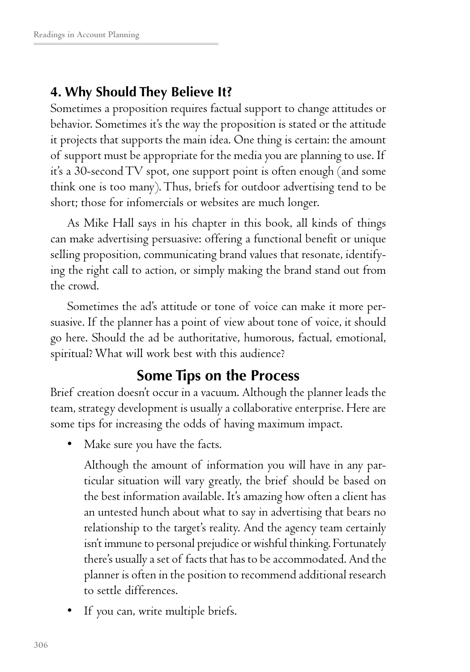## **4. Why Should They Believe It?**

Sometimes a proposition requires factual support to change attitudes or behavior. Sometimes it's the way the proposition is stated or the attitude it projects that supports the main idea. One thing is certain: the amount of support must be appropriate for the media you are planning to use. If it's a 30-second TV spot, one support point is often enough (and some think one is too many). Thus, briefs for outdoor advertising tend to be short; those for infomercials or websites are much longer.

As Mike Hall says in his chapter in this book, all kinds of things can make advertising persuasive: offering a functional benefit or unique selling proposition, communicating brand values that resonate, identifying the right call to action, or simply making the brand stand out from the crowd.

Sometimes the ad's attitude or tone of voice can make it more persuasive. If the planner has a point of view about tone of voice, it should go here. Should the ad be authoritative, humorous, factual, emotional, spiritual? What will work best with this audience?

# **Some Tips on the Process**

Brief creation doesn't occur in a vacuum. Although the planner leads the team, strategy development is usually a collaborative enterprise. Here are some tips for increasing the odds of having maximum impact.

Make sure you have the facts.

Although the amount of information you will have in any particular situation will vary greatly, the brief should be based on the best information available. It's amazing how often a client has an untested hunch about what to say in advertising that bears no relationship to the target's reality. And the agency team certainly isn't immune to personal prejudice or wishful thinking. Fortunately there's usually a set of facts that has to be accommodated. And the planner is often in the position to recommend additional research to settle differences.

If you can, write multiple briefs.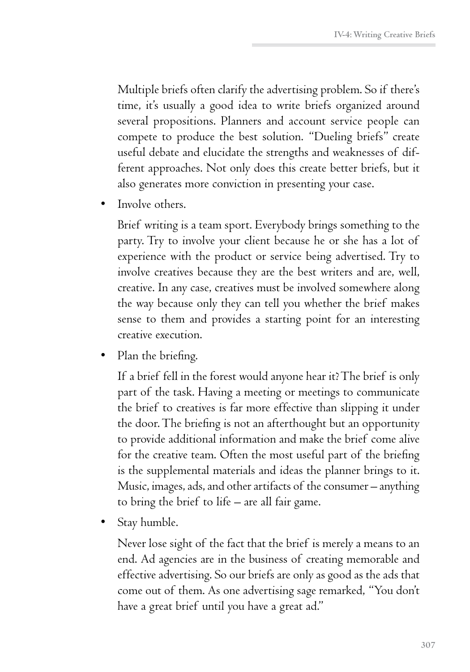Multiple briefs often clarify the advertising problem. So if there's time, it's usually a good idea to write briefs organized around several propositions. Planners and account service people can compete to produce the best solution. "Dueling briefs" create useful debate and elucidate the strengths and weaknesses of different approaches. Not only does this create better briefs, but it also generates more conviction in presenting your case.

Involve others.

Brief writing is a team sport. Everybody brings something to the party. Try to involve your client because he or she has a lot of experience with the product or service being advertised. Try to involve creatives because they are the best writers and are, well, creative. In any case, creatives must be involved somewhere along the way because only they can tell you whether the brief makes sense to them and provides a starting point for an interesting creative execution.

Plan the briefing.

If a brief fell in the forest would anyone hear it? The brief is only part of the task. Having a meeting or meetings to communicate the brief to creatives is far more effective than slipping it under the door. The briefing is not an afterthought but an opportunity to provide additional information and make the brief come alive for the creative team. Often the most useful part of the briefing is the supplemental materials and ideas the planner brings to it. Music, images, ads, and other artifacts of the consumer – anything to bring the brief to life – are all fair game.

Stay humble.

Never lose sight of the fact that the brief is merely a means to an end. Ad agencies are in the business of creating memorable and effective advertising. So our briefs are only as good as the ads that come out of them. As one advertising sage remarked, "You don't have a great brief until you have a great ad."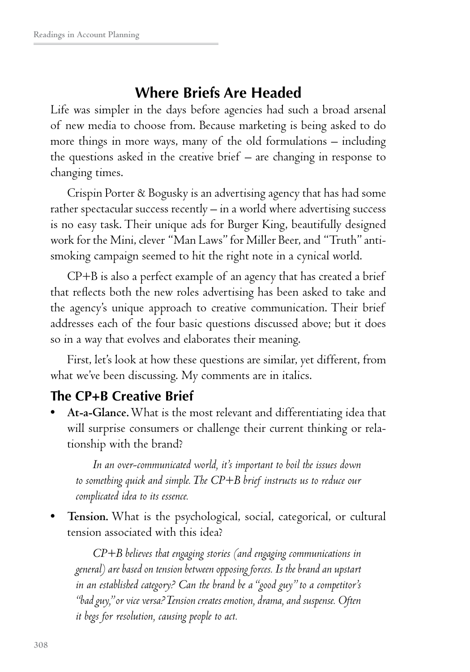### **Where Briefs Are Headed**

Life was simpler in the days before agencies had such a broad arsenal of new media to choose from. Because marketing is being asked to do more things in more ways, many of the old formulations – including the questions asked in the creative brief – are changing in response to changing times.

Crispin Porter & Bogusky is an advertising agency that has had some rather spectacular success recently – in a world where advertising success is no easy task. Their unique ads for Burger King, beautifully designed work for the Mini, clever "Man Laws" for Miller Beer, and "Truth" antismoking campaign seemed to hit the right note in a cynical world.

CP+B is also a perfect example of an agency that has created a brief that reflects both the new roles advertising has been asked to take and the agency's unique approach to creative communication. Their brief addresses each of the four basic questions discussed above; but it does so in a way that evolves and elaborates their meaning.

First, let's look at how these questions are similar, yet different, from what we've been discussing. My comments are in italics.

#### **The CP+B Creative Brief**

**• At-a-Glance.** What is the most relevant and differentiating idea that will surprise consumers or challenge their current thinking or relationship with the brand?

*In an over-communicated world, it's important to boil the issues down to something quick and simple. The CP+B brief instructs us to reduce our complicated idea to its essence.*

**• Tension.** What is the psychological, social, categorical, or cultural tension associated with this idea?

*CP+B believes that engaging stories (and engaging communications in general) are based on tension between opposing forces. Is the brand an upstart in an established category? Can the brand be a "good guy" to a competitor's "bad guy," or vice versa? Tension creates emotion, drama, and suspense. Often it begs for resolution, causing people to act.*